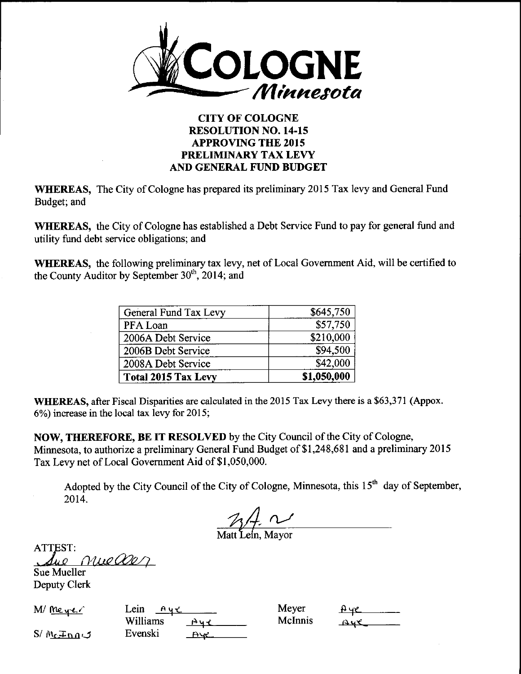

## CITY OF COLOGNE RESOLUTION NO. 14-15 APPROVING THE 2015 PRELIMINARY TAX LEVY AND GENERAL FUND BUDGET

WHEREAS, The City of Cologne has prepared its preliminary 2015 Tax levy and General Fund Budget; and

WHEREAS, the City of Cologne has established <sup>a</sup> Debt Service Fund to pay for general fund and utility fund debt service obligations; and

WHEREAS, the following preliminary tax levy, net of Local Government Aid, will be certified to the County Auditor by September 30<sup>th</sup>, 2014; and

| General Fund Tax Levy      | \$645,750   |
|----------------------------|-------------|
| PFA Loan                   | 557,750     |
| 2006A Debt Service         | \$210,000   |
| 2006B Debt Service         | \$94,500    |
| 2008A Debt Service         | \$42,000    |
| <b>Total 2015 Tax Levy</b> | \$1,050,000 |

WHEREAS, after Fiscal Disparities are calculated in the 2015 Tax Levy there is a \$63,371 (Appox. 6%) increase in the local tax levy for 2015;

NOW, THEREFORE, BE IT RESOLVED by the City Council of the City of Cologne, Minnesota, to authorize a preliminary General Fund Budget of \$1,248,681 and a preliminary 2015 Tax Levy net of Local Government Aid of \$1,050,000.

Adopted by the City Council of the City of Cologne, Minnesota, this  $15<sup>th</sup>$  day of September, 2014.

 $\mathcal{U}$   $\overline{\mathcal{U}}$   $\overline{\mathcal{U}}$   $\overline{\mathcal{U}}$  Mayor

ATTEST: nueaer

Sue Mueller Deputy Clerk

 $M/m_{e}$   $\sim$  Lein  $\sim$ 

 $A_{\mathcal{H}}$ **Williams**  $S/M_{c} \pm n_{0} \omega$  Evenski  $\frac{P_{V} \omega}{P_{V}}$  McInnis

Meyer  $\theta$  ye  $\theta$  McInnis  $\theta$  ye  $\theta$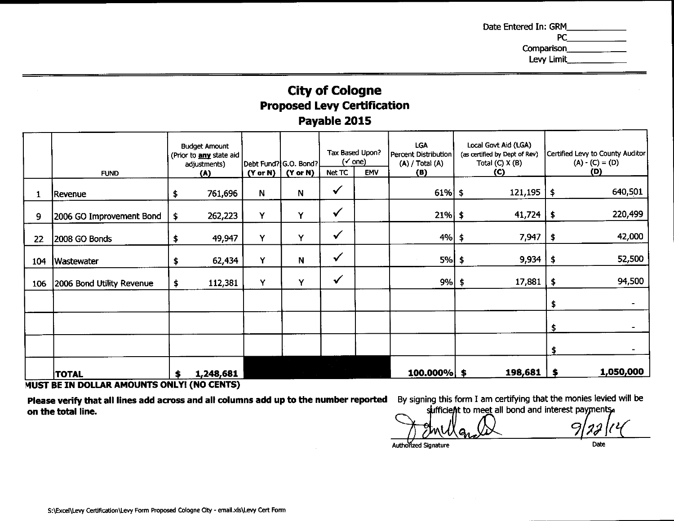## **Proposed Levy Certification<br>Payable 2015** monies r<br>F

| Date Entered In: GRM<br>Comparison<br>Levy Limit<br><b>City of Cologne<br/>Proposed Levy Certification</b><br>Payable 2015<br>$\begin{array}{ c c c c c c }\n\hline\n\text{CylW} & \text{CylW} & \text{CylW} & \text{CylW} & \text{CylW} & \text{CylW} & \text{CylW} & \text{CylW} & \text{CylW} & \text{CylW} & \text{CylW} & \text{CylW} & \text{CylW} & \text{CylW} & \text{CylW} & \text{CylW} & \text{CylW} & \text{CylW} & \text{CylW} & \text{CylW} & \text{CylW} & \text{CylW} & \text{CylW} & \text{CylW} & \text{C$<br>761.696   N   N   '<br>$61\%$ \$<br>121,195<br>Revenue<br>$262,223$ \<br>21%<br>9 2006 GO Improvement Bond \$ |  |  |  |
|------------------------------------------------------------------------------------------------------------------------------------------------------------------------------------------------------------------------------------------------------------------------------------------------------------------------------------------------------------------------------------------------------------------------------------------------------------------------------------------------------------------------------------------------------------------------------------------------------------------------------------------------|--|--|--|
| 22 2008 GO Bonds<br>49.947丨<br>- 7.947<br>62.434丨<br>104 Wastewater<br><b>N</b><br>106 2006 Bond Utility Revenue<br>$112,381$ Y Y<br>17 RS<br>1,050,000<br>TOTAL TOTAL \$ 1,248,681<br>MUST BE IN DOLLAR AMOUNTS ONLY! (NO CENTS)<br><b>Please verify that all lines add across and all columns add up to the number reported</b> By signing this form I am certifying that the monies levied will be <b>on the total line.</b><br><b>on the total line.</b>                                                                                                                                                                                   |  |  |  |
| 11 22 I C<br><i>I</i> MULa<br>$\frac{1}{\sqrt{1-\frac{1}{2}}}$<br>Authorized Signature<br>S:\Excel\Levy Certification\Levy Form Proposed Cologne City - email.xls\Levy Cert Form                                                                                                                                                                                                                                                                                                                                                                                                                                                               |  |  |  |

## D<mark>LLAR AMOUNTS O</mark>I O.

add By signing this form I am certi  $\overline{\phantom{a}}$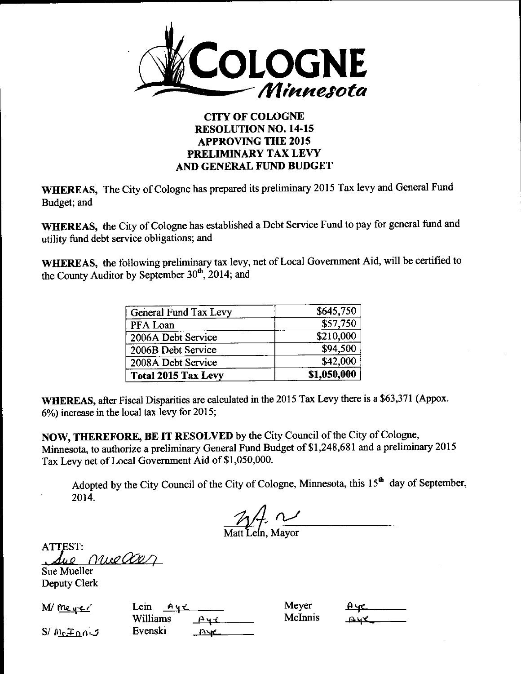

## **CITY OF COLOGNE RESOLUTION NO. 14-15 APPROVING THE 2015** PRELIMINARY TAX LEVY AND GENERAL FUND BUDGET

WHEREAS, The City of Cologne has prepared its preliminary 2015 Tax levy and General Fund Budget; and

WHEREAS, the City of Cologne has established a Debt Service Fund to pay for general fund and utility fund debt service obligations; and

WHEREAS, the following preliminary tax levy, net of Local Government Aid, will be certified to the County Auditor by September 30<sup>th</sup>, 2014; and

| General Fund Tax Levy      | \$645,750   |
|----------------------------|-------------|
| PFA Loan                   | \$57,750    |
| 2006A Debt Service         | \$210,000   |
| 2006B Debt Service         | \$94,500    |
| 2008A Debt Service         | \$42,000    |
| <b>Total 2015 Tax Levy</b> | \$1,050,000 |

WHEREAS, after Fiscal Disparities are calculated in the 2015 Tax Levy there is a \$63,371 (Appox. 6%) increase in the local tax levy for 2015;

NOW, THEREFORE, BE IT RESOLVED by the City Council of the City of Cologne, Minnesota, to authorize a preliminary General Fund Budget of \$1,248,681 and a preliminary 2015 Tax Levy net of Local Government Aid of \$1,050,000.

Adopted by the City Council of the City of Cologne, Minnesota, this 15<sup>th</sup> day of September, 2014.

 $\frac{1}{\sqrt{1-\frac{1}{1-\frac{1}{1-\frac{1}{1-\frac{1}{1-\frac{1}{1-\frac{1}{1-\frac{1}{1-\frac{1}{1-\frac{1}{1-\frac{1}{1-\frac{1}{1-\frac{1}{1-\frac{1}{1-\frac{1}{1-\frac{1}{1-\frac{1}{1-\frac{1}{1-\frac{1}{1-\frac{1}{1-\frac{1}{1-\frac{1}{1-\frac{1}{1-\frac{1}{1-\frac{1}{1-\frac{1}{1-\frac{1}{1-\frac{1}{1-\frac{1}{1-\frac{1}{1-\frac{1}{1-\frac{1}{1-\frac{1}{1-\frac{1}{1-\frac{1}{1-\frac{1}{1-\$ 

**ATTEST:** nuelles Sue Mueller

**Deputy Clerk** 

 $M/mq$ 

Lein  $Ayz$ **Williams**  $A + 1$ Evenski  $Ave$ 

Mever McInnis

Aye

 $S/M_{\rm C}F_{\rm DQ}$